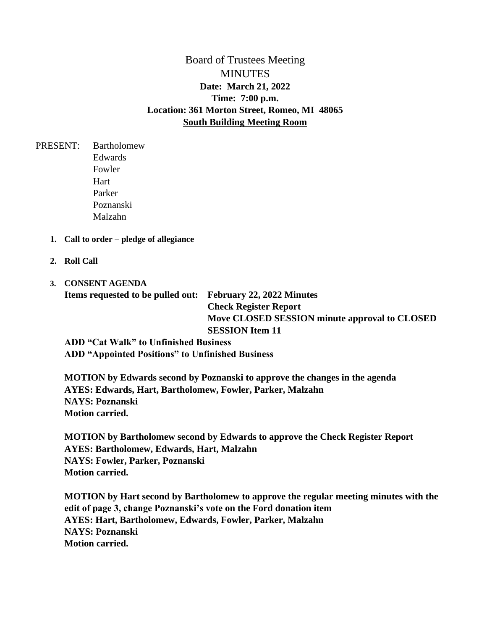Board of Trustees Meeting MINUTES **Date: March 21, 2022 Time: 7:00 p.m. Location: 361 Morton Street, Romeo, MI 48065 South Building Meeting Room**

PRESENT: Bartholomew Edwards Fowler **Hart** Parker Poznanski Malzahn

- **1. Call to order – pledge of allegiance**
- **2. Roll Call**
- **3. CONSENT AGENDA Items requested to be pulled out: February 22, 2022 Minutes**

**Check Register Report Move CLOSED SESSION minute approval to CLOSED SESSION Item 11**

**ADD "Cat Walk" to Unfinished Business ADD "Appointed Positions" to Unfinished Business** 

**MOTION by Edwards second by Poznanski to approve the changes in the agenda AYES: Edwards, Hart, Bartholomew, Fowler, Parker, Malzahn NAYS: Poznanski Motion carried.** 

**MOTION by Bartholomew second by Edwards to approve the Check Register Report AYES: Bartholomew, Edwards, Hart, Malzahn NAYS: Fowler, Parker, Poznanski Motion carried.** 

**MOTION by Hart second by Bartholomew to approve the regular meeting minutes with the edit of page 3, change Poznanski's vote on the Ford donation item AYES: Hart, Bartholomew, Edwards, Fowler, Parker, Malzahn NAYS: Poznanski Motion carried.**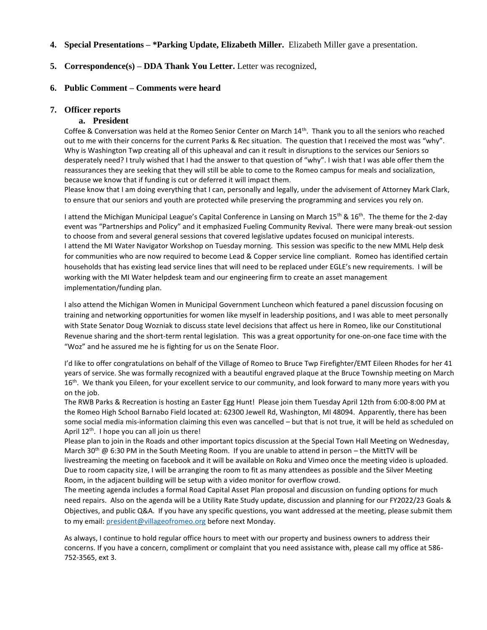## **4. Special Presentations – \*Parking Update, Elizabeth Miller.** Elizabeth Miller gave a presentation.

## **5. Correspondence(s) – DDA Thank You Letter.** Letter was recognized,

#### **6. Public Comment – Comments were heard**

### **7. Officer reports**

### **a. President**

Coffee & Conversation was held at the Romeo Senior Center on March 14th. Thank you to all the seniors who reached out to me with their concerns for the current Parks & Rec situation. The question that I received the most was "why". Why is Washington Twp creating all of this upheaval and can it result in disruptions to the services our Seniors so desperately need? I truly wished that I had the answer to that question of "why". I wish that I was able offer them the reassurances they are seeking that they will still be able to come to the Romeo campus for meals and socialization, because we know that if funding is cut or deferred it will impact them.

Please know that I am doing everything that I can, personally and legally, under the advisement of Attorney Mark Clark, to ensure that our seniors and youth are protected while preserving the programming and services you rely on.

I attend the Michigan Municipal League's Capital Conference in Lansing on March 15<sup>th</sup> & 16<sup>th</sup>. The theme for the 2-day event was "Partnerships and Policy" and it emphasized Fueling Community Revival. There were many break-out session to choose from and several general sessions that covered legislative updates focused on municipal interests. I attend the MI Water Navigator Workshop on Tuesday morning. This session was specific to the new MML Help desk for communities who are now required to become Lead & Copper service line compliant. Romeo has identified certain households that has existing lead service lines that will need to be replaced under EGLE's new requirements. I will be working with the MI Water helpdesk team and our engineering firm to create an asset management implementation/funding plan.

I also attend the Michigan Women in Municipal Government Luncheon which featured a panel discussion focusing on training and networking opportunities for women like myself in leadership positions, and I was able to meet personally with State Senator Doug Wozniak to discuss state level decisions that affect us here in Romeo, like our Constitutional Revenue sharing and the short-term rental legislation. This was a great opportunity for one-on-one face time with the "Woz" and he assured me he is fighting for us on the Senate Floor.

I'd like to offer congratulations on behalf of the Village of Romeo to Bruce Twp Firefighter/EMT Eileen Rhodes for her 41 years of service. She was formally recognized with a beautiful engraved plaque at the Bruce Township meeting on March 16<sup>th</sup>. We thank you Eileen, for your excellent service to our community, and look forward to many more years with you on the job.

The RWB Parks & Recreation is hosting an Easter Egg Hunt! Please join them Tuesday April 12th from 6:00-8:00 PM at the Romeo High School Barnabo Field located at: 62300 Jewell Rd, Washington, MI 48094. Apparently, there has been some social media mis-information claiming this even was cancelled – but that is not true, it will be held as scheduled on April  $12<sup>th</sup>$ . I hope you can all join us there!

Please plan to join in the Roads and other important topics discussion at the Special Town Hall Meeting on Wednesday, March 30<sup>th</sup> @ 6:30 PM in the South Meeting Room. If you are unable to attend in person – the MittTV will be livestreaming the meeting on facebook and it will be available on Roku and Vimeo once the meeting video is uploaded. Due to room capacity size, I will be arranging the room to fit as many attendees as possible and the Silver Meeting Room, in the adjacent building will be setup with a video monitor for overflow crowd.

The meeting agenda includes a formal Road Capital Asset Plan proposal and discussion on funding options for much need repairs. Also on the agenda will be a Utility Rate Study update, discussion and planning for our FY2022/23 Goals & Objectives, and public Q&A. If you have any specific questions, you want addressed at the meeting, please submit them to my email: [president@villageofromeo.org](mailto:president@villageofromeo.org) before next Monday.

As always, I continue to hold regular office hours to meet with our property and business owners to address their concerns. If you have a concern, compliment or complaint that you need assistance with, please call my office at 586- 752-3565, ext 3.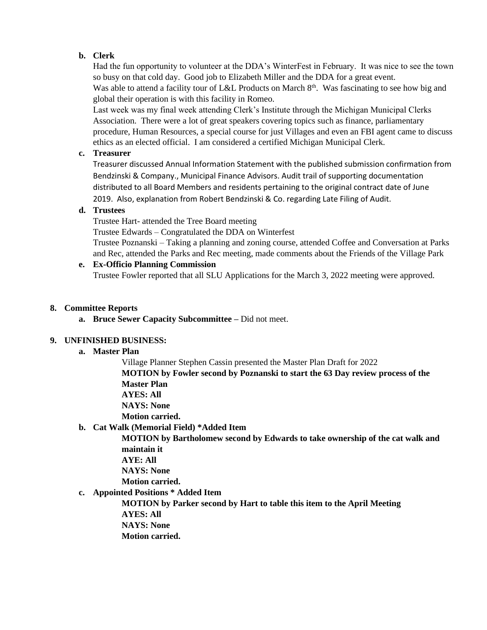# **b. Clerk**

Had the fun opportunity to volunteer at the DDA's WinterFest in February. It was nice to see the town so busy on that cold day. Good job to Elizabeth Miller and the DDA for a great event. Was able to attend a facility tour of L&L Products on March 8<sup>th</sup>. Was fascinating to see how big and global their operation is with this facility in Romeo.

Last week was my final week attending Clerk's Institute through the Michigan Municipal Clerks Association. There were a lot of great speakers covering topics such as finance, parliamentary procedure, Human Resources, a special course for just Villages and even an FBI agent came to discuss ethics as an elected official. I am considered a certified Michigan Municipal Clerk.

# **c. Treasurer**

Treasurer discussed Annual Information Statement with the published submission confirmation from Bendzinski & Company., Municipal Finance Advisors. Audit trail of supporting documentation distributed to all Board Members and residents pertaining to the original contract date of June 2019. Also, explanation from Robert Bendzinski & Co. regarding Late Filing of Audit.

# **d. Trustees**

Trustee Hart- attended the Tree Board meeting

Trustee Edwards – Congratulated the DDA on Winterfest

Trustee Poznanski – Taking a planning and zoning course, attended Coffee and Conversation at Parks and Rec, attended the Parks and Rec meeting, made comments about the Friends of the Village Park

# **e. Ex-Officio Planning Commission**

Trustee Fowler reported that all SLU Applications for the March 3, 2022 meeting were approved.

# **8. Committee Reports**

**a. Bruce Sewer Capacity Subcommittee –** Did not meet.

# **9. UNFINISHED BUSINESS:**

**a. Master Plan** 

Village Planner Stephen Cassin presented the Master Plan Draft for 2022 **MOTION by Fowler second by Poznanski to start the 63 Day review process of the Master Plan**

**AYES: All** 

**NAYS: None**

**Motion carried.** 

**b. Cat Walk (Memorial Field) \*Added Item**

**MOTION by Bartholomew second by Edwards to take ownership of the cat walk and maintain it**

**AYE: All NAYS: None**

**Motion carried.** 

**c. Appointed Positions \* Added Item**

**MOTION by Parker second by Hart to table this item to the April Meeting AYES: All NAYS: None**

**Motion carried.**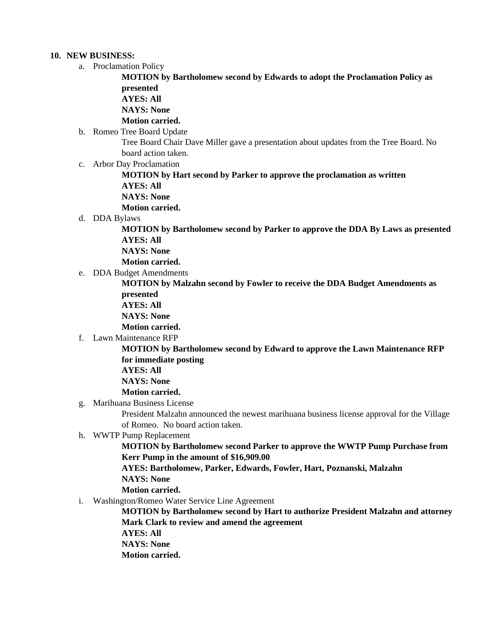## **10. NEW BUSINESS:**

a. Proclamation Policy

**MOTION by Bartholomew second by Edwards to adopt the Proclamation Policy as presented**

**AYES: All** 

**NAYS: None**

**Motion carried.** 

b. Romeo Tree Board Update

Tree Board Chair Dave Miller gave a presentation about updates from the Tree Board. No board action taken.

c. Arbor Day Proclamation

**MOTION by Hart second by Parker to approve the proclamation as written AYES: All NAYS: None**

**Motion carried.**

d. DDA Bylaws

**MOTION by Bartholomew second by Parker to approve the DDA By Laws as presented AYES: All** 

**NAYS: None**

- **Motion carried.**
- e. DDA Budget Amendments

**MOTION by Malzahn second by Fowler to receive the DDA Budget Amendments as presented** 

**AYES: All** 

**NAYS: None**

**Motion carried.** 

f. Lawn Maintenance RFP

**MOTION by Bartholomew second by Edward to approve the Lawn Maintenance RFP for immediate posting AYES: All** 

**NAYS: None**

- **Motion carried.**
- g. Marihuana Business License

President Malzahn announced the newest marihuana business license approval for the Village of Romeo. No board action taken.

h. WWTP Pump Replacement

**MOTION by Bartholomew second Parker to approve the WWTP Pump Purchase from Kerr Pump in the amount of \$16,909.00**

**AYES: Bartholomew, Parker, Edwards, Fowler, Hart, Poznanski, Malzahn**

**NAYS: None**

**Motion carried.** 

i. Washington/Romeo Water Service Line Agreement

**MOTION by Bartholomew second by Hart to authorize President Malzahn and attorney Mark Clark to review and amend the agreement**

**AYES: All** 

**NAYS: None**

**Motion carried.**